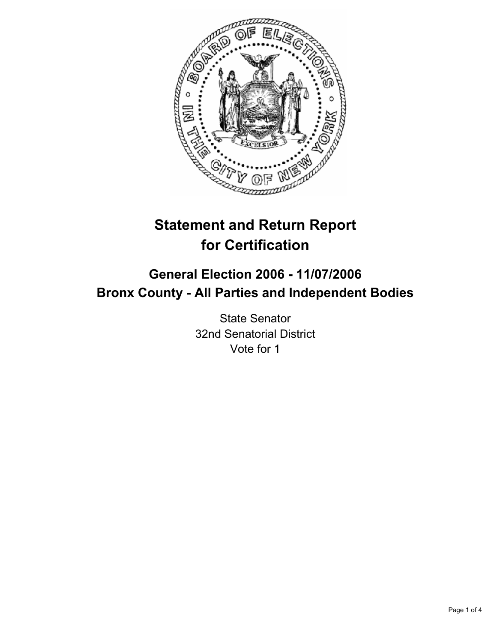

# **Statement and Return Report for Certification**

# **General Election 2006 - 11/07/2006 Bronx County - All Parties and Independent Bodies**

State Senator 32nd Senatorial District Vote for 1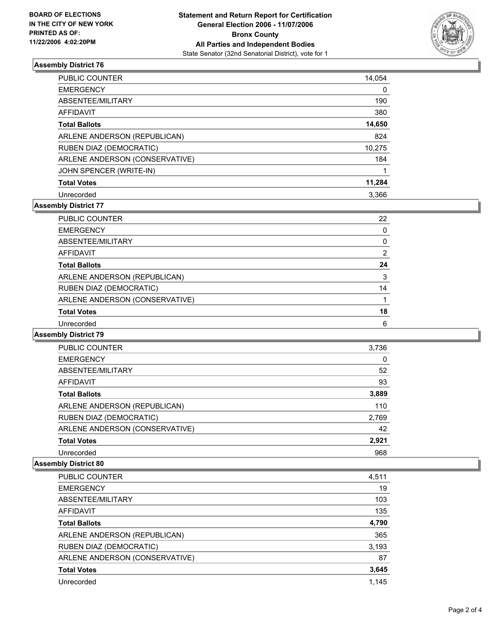

## **Assembly District 76**

| <b>PUBLIC COUNTER</b>          | 14,054 |
|--------------------------------|--------|
| <b>EMERGENCY</b>               | 0      |
| ABSENTEE/MILITARY              | 190    |
| AFFIDAVIT                      | 380    |
| <b>Total Ballots</b>           | 14,650 |
| ARLENE ANDERSON (REPUBLICAN)   | 824    |
| RUBEN DIAZ (DEMOCRATIC)        | 10,275 |
| ARLENE ANDERSON (CONSERVATIVE) | 184    |
| JOHN SPENCER (WRITE-IN)        |        |
| <b>Total Votes</b>             | 11,284 |
| Unrecorded                     | 3.366  |

# **Assembly District 77**

| <b>PUBLIC COUNTER</b>          | 22 |  |
|--------------------------------|----|--|
| <b>EMERGENCY</b>               |    |  |
| ABSENTEE/MILITARY              |    |  |
| AFFIDAVIT                      |    |  |
| <b>Total Ballots</b>           | 24 |  |
| ARLENE ANDERSON (REPUBLICAN)   | 3  |  |
| RUBEN DIAZ (DEMOCRATIC)        | 14 |  |
| ARLENE ANDERSON (CONSERVATIVE) |    |  |
| <b>Total Votes</b>             | 18 |  |
| Unrecorded                     | 6  |  |

#### **Assembly District 79**

| PUBLIC COUNTER                 | 3,736 |  |
|--------------------------------|-------|--|
| <b>EMERGENCY</b>               | 0     |  |
| ABSENTEE/MILITARY              | 52    |  |
| <b>AFFIDAVIT</b>               | 93    |  |
| <b>Total Ballots</b>           | 3,889 |  |
| ARLENE ANDERSON (REPUBLICAN)   | 110   |  |
| RUBEN DIAZ (DEMOCRATIC)        | 2,769 |  |
| ARLENE ANDERSON (CONSERVATIVE) | 42    |  |
| <b>Total Votes</b>             | 2,921 |  |
| Unrecorded                     | 968   |  |

#### **Assembly District 80**

| PUBLIC COUNTER                 | 4,511 |
|--------------------------------|-------|
| <b>EMERGENCY</b>               | 19    |
| ABSENTEE/MILITARY              | 103   |
| AFFIDAVIT                      | 135   |
| <b>Total Ballots</b>           | 4,790 |
| ARLENE ANDERSON (REPUBLICAN)   | 365   |
| RUBEN DIAZ (DEMOCRATIC)        | 3,193 |
| ARLENE ANDERSON (CONSERVATIVE) | 87    |
| <b>Total Votes</b>             | 3,645 |
| Unrecorded                     | 1,145 |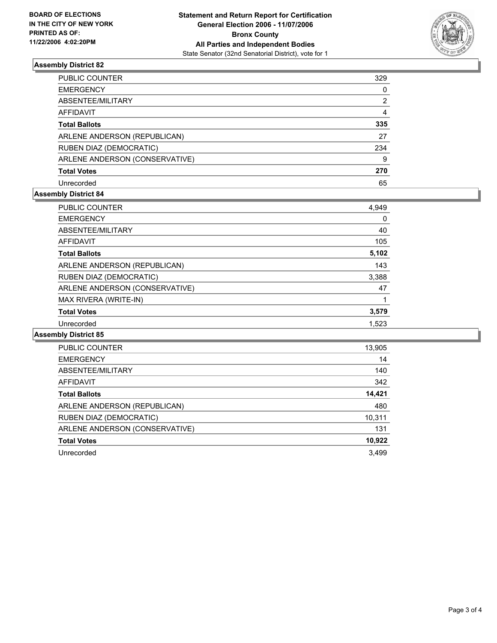

## **Assembly District 82**

| PUBLIC COUNTER                 | 329 |
|--------------------------------|-----|
| <b>EMERGENCY</b>               | 0   |
| ABSENTEE/MILITARY              | 2   |
| AFFIDAVIT                      |     |
| <b>Total Ballots</b>           | 335 |
| ARLENE ANDERSON (REPUBLICAN)   | 27  |
| RUBEN DIAZ (DEMOCRATIC)        | 234 |
| ARLENE ANDERSON (CONSERVATIVE) | 9   |
| <b>Total Votes</b>             | 270 |
| Unrecorded                     | 65  |

## **Assembly District 84**

| <b>PUBLIC COUNTER</b>          | 4,949 |  |
|--------------------------------|-------|--|
| <b>EMERGENCY</b>               | 0     |  |
| ABSENTEE/MILITARY              | 40    |  |
| <b>AFFIDAVIT</b>               | 105   |  |
| <b>Total Ballots</b>           | 5,102 |  |
| ARLENE ANDERSON (REPUBLICAN)   | 143   |  |
| RUBEN DIAZ (DEMOCRATIC)        | 3,388 |  |
| ARLENE ANDERSON (CONSERVATIVE) | 47    |  |
| MAX RIVERA (WRITE-IN)          |       |  |
| <b>Total Votes</b>             | 3,579 |  |
| Unrecorded                     | 1,523 |  |

#### **Assembly District 85**

| <b>PUBLIC COUNTER</b>          | 13,905 |
|--------------------------------|--------|
| <b>EMERGENCY</b>               | 14     |
| ABSENTEE/MILITARY              | 140    |
| AFFIDAVIT                      | 342    |
| <b>Total Ballots</b>           | 14,421 |
| ARLENE ANDERSON (REPUBLICAN)   | 480    |
| RUBEN DIAZ (DEMOCRATIC)        | 10,311 |
| ARLENE ANDERSON (CONSERVATIVE) | 131    |
| <b>Total Votes</b>             | 10,922 |
| Unrecorded                     | 3,499  |
|                                |        |